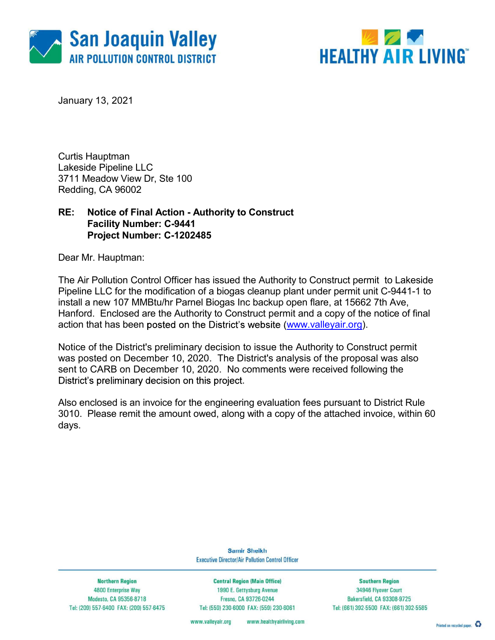



January 13, 2021

Curtis Hauptman Lakeside Pipeline LLC 3711 Meadow View Dr, Ste 100 Redding, CA 96002

### RE: Notice of Final Action - Authority to Construct Facility Number: C-9441 Project Number: C-1202485

Dear Mr. Hauptman:

The Air Pollution Control Officer has issued the Authority to Construct permit to Lakeside Pipeline LLC for the modification of a biogas cleanup plant under permit unit C-9441-1 to install a new 107 MMBtu/hr Parnel Biogas Inc backup open flare, at 15662 7th Ave, Hanford. Enclosed are the Authority to Construct permit and a copy of the notice of final action that has been posted on the District's website (www.valleyair.org).

Notice of the District's preliminary decision to issue the Authority to Construct permit was posted on December 10, 2020. The District's analysis of the proposal was also sent to CARB on December 10, 2020. No comments were received following the District's preliminary decision on this project.<br>Also enclosed is an invoice for the engineering evaluation fees pursuant to District Rule

3010. Please remit the amount owed, along with a copy of the attached invoice, within 60 days.

> **Samir Sheikh Executive Director/Air Pollution Control Officer**

**Northern Region** 4800 Enterprise Way Modesto, CA 95356-8718 Tel: (209) 557-6400 FAX: (209) 557-6475

**Central Region (Main Office)** 1990 E. Gettysburg Avenue Fresno, CA 93726-0244 Tel: (559) 230-6000 FAX: (559) 230-6061

**Southern Region** 34946 Flyover Court Bakersfield, CA 93308-9725 Tel: (661) 392-5500 FAX: (661) 392-5585

www.valleyair.org www.healthyairliving.com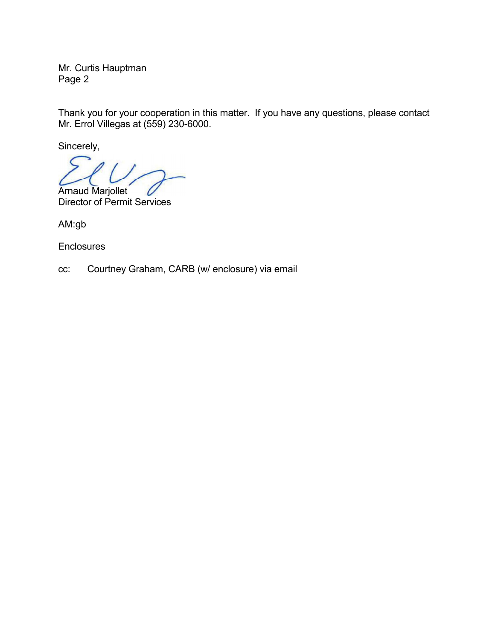Mr. Curtis Hauptman Page 2

Thank you for your cooperation in this matter. If you have any questions, please contact Mr. Errol Villegas at (559) 230-6000.

Sincerely,

Arnaud Marjollet

Director of Permit Services

AM:gb

**Enclosures** 

cc: Courtney Graham, CARB (w/ enclosure) via email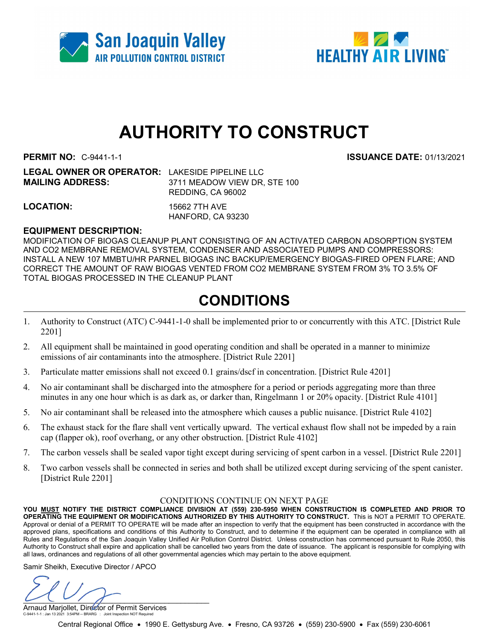



# AUTHORITY TO CONSTRUCT

**PERMIT NO:**  C-9441-1-1 **ISSUANCE DATE:** 01/13/2021

| <b>LEGAL OWNER OR OPERATOR: LAKESIDE PIPELINE LLC</b> |
|-------------------------------------------------------|
| 3711 MEADOW VIEW DR. STE 100                          |
| REDDING, CA 96002                                     |
|                                                       |

LOCATION: 15662 7TH AVE

HANFORD, CA 93230

#### EQUIPMENT DESCRIPTION:

MODIFICATION OF BIOGAS CLEANUP PLANT CONSISTING OF AN ACTIVATED CARBON ADSORPTION SYSTEM AND CO2 MEMBRANE REMOVAL SYSTEM, CONDENSER AND ASSOCIATED PUMPS AND COMPRESSORS: INSTALL A NEW 107 MMBTU/HR PARNEL BIOGAS INC BACKUP/EMERGENCY BIOGAS-FIRED OPEN FLARE; AND CORRECT THE AMOUNT OF RAW BIOGAS VENTED FROM CO2 MEMBRANE SYSTEM FROM 3% TO 3.5% OF TOTAL BIOGAS PROCESSED IN THE CLEANUP PLANT

## CONDITIONS

- 1. Authority to Construct (ATC) C-9441-1-0 shall be implemented prior to or concurrently with this ATC. [District Rule 2201]
- 2. All equipment shall be maintained in good operating condition and shall be operated in a manner to minimize emissions of air contaminants into the atmosphere. [District Rule 2201]
- 3. Particulate matter emissions shall not exceed 0.1 grains/dscf in concentration. [District Rule 4201]
- 4. No air contaminant shall be discharged into the atmosphere for a period or periods aggregating more than three minutes in any one hour which is as dark as, or darker than, Ringelmann 1 or 20% opacity. [District Rule 4101]
- 5. No air contaminant shall be released into the atmosphere which causes a public nuisance. [District Rule 4102]
- 6. The exhaust stack for the flare shall vent vertically upward. The vertical exhaust flow shall not be impeded by a rain cap (flapper ok), roof overhang, or any other obstruction. [District Rule 4102]
- 7. The carbon vessels shall be sealed vapor tight except during servicing of spent carbon in a vessel. [District Rule 2201]
- 8. Two carbon vessels shall be connected in series and both shall be utilized except during servicing of the spent canister. [District Rule 2201]

#### CONDITIONS CONTINUE ON NEXT PAGE

YOU MUST NOTIFY THE DISTRICT COMPLIANCE DIVISION AT (559) 230-5950 WHEN CONSTRUCTION IS COMPLETED AND PRIOR TO OPERATING THE EQUIPMENT OR MODIFICATIONS AUTHORIZED BY THIS AUTHORITY TO CONSTRUCT. This is NOT a PERMIT TO OPERATE. Approval or denial of a PERMIT TO OPERATE will be made after an inspection to verify that the equipment has been constructed in accordance with the approved plans, specifications and conditions of this Authority to Construct, and to determine if the equipment can be operated in compliance with all Rules and Regulations of the San Joaquin Valley Unified Air Pollution Control District. Unless construction has commenced pursuant to Rule 2050, this Authority to Construct shall expire and application shall be cancelled two years from the date of issuance. The applicant is responsible for complying with all laws, ordinances and regulations of all other governmental agencies which may pertain to the above equipment.

Samir Sheikh, Executive Director / APCO

 $\cup$ 

Arnaud Marjollet, Director of Permit Services C-9441-1-1 : Jan 13 2021 3:54PM -- BRARG : Joint Inspection NOT Required

Central Regional Office • 1990 E. Gettysburg Ave. • Fresno, CA 93726 • (559) 230-5900 • Fax (559) 230-6061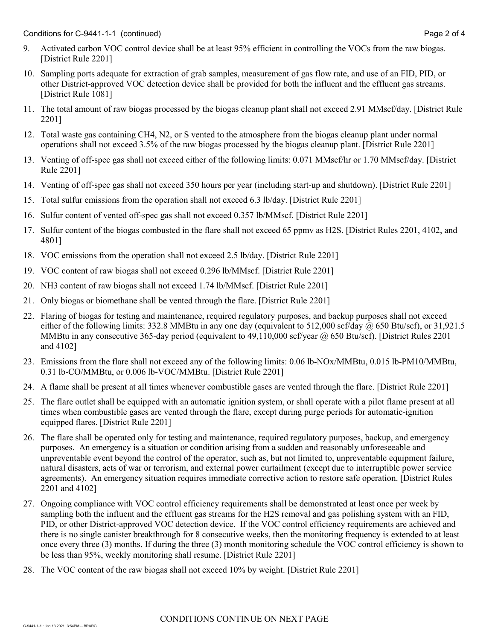- 10. Sampling ports adequate for extraction of grab samples, measurement of gas flow rate, and use of an FID, PID, or other District-approved VOC detection device shall be provided for both the influent and the effluent gas streams. [District Rule 1081]
- 11. The total amount of raw biogas processed by the biogas cleanup plant shall not exceed 2.91 MMscf/day. [District Rule 2201]
- 12. Total waste gas containing CH4, N2, or S vented to the atmosphere from the biogas cleanup plant under normal operations shall not exceed 3.5% of the raw biogas processed by the biogas cleanup plant. [District Rule 2201]
- 13. Venting of off-spec gas shall not exceed either of the following limits: 0.071 MMscf/hr or 1.70 MMscf/day. [District Rule 2201]
- 14. Venting of off-spec gas shall not exceed 350 hours per year (including start-up and shutdown). [District Rule 2201]
- 15. Total sulfur emissions from the operation shall not exceed 6.3 lb/day. [District Rule 2201]
- 16. Sulfur content of vented off-spec gas shall not exceed 0.357 lb/MMscf. [District Rule 2201]
- 17. Sulfur content of the biogas combusted in the flare shall not exceed 65 ppmv as H2S. [District Rules 2201, 4102, and 4801]
- 18. VOC emissions from the operation shall not exceed 2.5 lb/day. [District Rule 2201]
- 19. VOC content of raw biogas shall not exceed 0.296 lb/MMscf. [District Rule 2201]
- 20. NH3 content of raw biogas shall not exceed 1.74 lb/MMscf. [District Rule 2201]
- 21. Only biogas or biomethane shall be vented through the flare. [District Rule 2201]
- 22. Flaring of biogas for testing and maintenance, required regulatory purposes, and backup purposes shall not exceed either of the following limits: 332.8 MMBtu in any one day (equivalent to 512,000 scf/day  $\omega$  650 Btu/scf), or 31,921.5 MMBtu in any consecutive 365-day period (equivalent to 49,110,000 scf/year @ 650 Btu/scf). [District Rules 2201 and 4102]
- 23. Emissions from the flare shall not exceed any of the following limits: 0.06 lb-NOx/MMBtu, 0.015 lb-PM10/MMBtu, 0.31 lb-CO/MMBtu, or 0.006 lb-VOC/MMBtu. [District Rule 2201]
- 24. A flame shall be present at all times whenever combustible gases are vented through the flare. [District Rule 2201]
- 25. The flare outlet shall be equipped with an automatic ignition system, or shall operate with a pilot flame present at all times when combustible gases are vented through the flare, except during purge periods for automatic-ignition equipped flares. [District Rule 2201]
- 26. The flare shall be operated only for testing and maintenance, required regulatory purposes, backup, and emergency purposes. An emergency is a situation or condition arising from a sudden and reasonably unforeseeable and unpreventable event beyond the control of the operator, such as, but not limited to, unpreventable equipment failure, natural disasters, acts of war or terrorism, and external power curtailment (except due to interruptible power service agreements). An emergency situation requires immediate corrective action to restore safe operation. [District Rules 2201 and 4102]
- 27. Ongoing compliance with VOC control efficiency requirements shall be demonstrated at least once per week by sampling both the influent and the effluent gas streams for the H2S removal and gas polishing system with an FID, PID, or other District-approved VOC detection device. If the VOC control efficiency requirements are achieved and there is no single canister breakthrough for 8 consecutive weeks, then the monitoring frequency is extended to at least once every three (3) months. If during the three (3) month monitoring schedule the VOC control efficiency is shown to be less than 95%, weekly monitoring shall resume. [District Rule 2201]
- 28. The VOC content of the raw biogas shall not exceed 10% by weight. [District Rule 2201]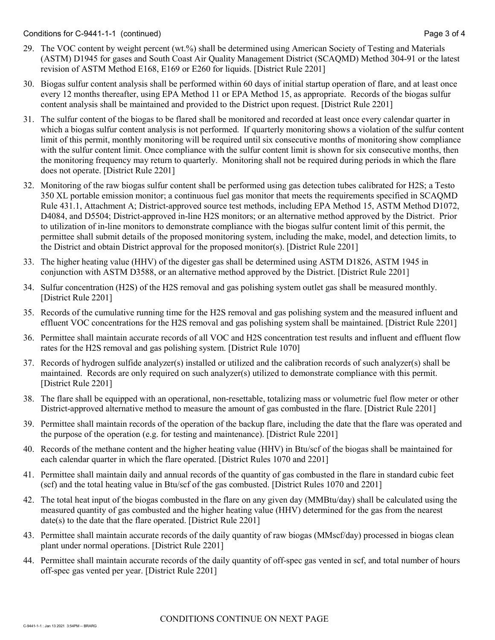Conditions for C-9441-1-1 (continued) Page 3 of 4

- 29. The VOC content by weight percent (wt.%) shall be determined using American Society of Testing and Materials (ASTM) D1945 for gases and South Coast Air Quality Management District (SCAQMD) Method 304-91 or the latest revision of ASTM Method E168, E169 or E260 for liquids. [District Rule 2201]
- 30. Biogas sulfur content analysis shall be performed within 60 days of initial startup operation of flare, and at least once every 12 months thereafter, using EPA Method 11 or EPA Method 15, as appropriate. Records of the biogas sulfur content analysis shall be maintained and provided to the District upon request. [District Rule 2201]
- 31. The sulfur content of the biogas to be flared shall be monitored and recorded at least once every calendar quarter in which a biogas sulfur content analysis is not performed. If quarterly monitoring shows a violation of the sulfur content limit of this permit, monthly monitoring will be required until six consecutive months of monitoring show compliance with the sulfur content limit. Once compliance with the sulfur content limit is shown for six consecutive months, then the monitoring frequency may return to quarterly. Monitoring shall not be required during periods in which the flare does not operate. [District Rule 2201]
- 32. Monitoring of the raw biogas sulfur content shall be performed using gas detection tubes calibrated for H2S; a Testo 350 XL portable emission monitor; a continuous fuel gas monitor that meets the requirements specified in SCAQMD Rule 431.1, Attachment A; District-approved source test methods, including EPA Method 15, ASTM Method D1072, D4084, and D5504; District-approved in-line H2S monitors; or an alternative method approved by the District. Prior to utilization of in-line monitors to demonstrate compliance with the biogas sulfur content limit of this permit, the permittee shall submit details of the proposed monitoring system, including the make, model, and detection limits, to the District and obtain District approval for the proposed monitor(s). [District Rule 2201]
- 33. The higher heating value (HHV) of the digester gas shall be determined using ASTM D1826, ASTM 1945 in conjunction with ASTM D3588, or an alternative method approved by the District. [District Rule 2201]
- 34. Sulfur concentration (H2S) of the H2S removal and gas polishing system outlet gas shall be measured monthly. [District Rule 2201]
- 35. Records of the cumulative running time for the H2S removal and gas polishing system and the measured influent and effluent VOC concentrations for the H2S removal and gas polishing system shall be maintained. [District Rule 2201]
- 36. Permittee shall maintain accurate records of all VOC and H2S concentration test results and influent and effluent flow rates for the H2S removal and gas polishing system. [District Rule 1070]
- 37. Records of hydrogen sulfide analyzer(s) installed or utilized and the calibration records of such analyzer(s) shall be maintained. Records are only required on such analyzer(s) utilized to demonstrate compliance with this permit. [District Rule 2201]
- 38. The flare shall be equipped with an operational, non-resettable, totalizing mass or volumetric fuel flow meter or other District-approved alternative method to measure the amount of gas combusted in the flare. [District Rule 2201]
- 39. Permittee shall maintain records of the operation of the backup flare, including the date that the flare was operated and the purpose of the operation (e.g. for testing and maintenance). [District Rule 2201]
- 40. Records of the methane content and the higher heating value (HHV) in Btu/scf of the biogas shall be maintained for each calendar quarter in which the flare operated. [District Rules 1070 and 2201]
- 41. Permittee shall maintain daily and annual records of the quantity of gas combusted in the flare in standard cubic feet (scf) and the total heating value in Btu/scf of the gas combusted. [District Rules 1070 and 2201]
- 42. The total heat input of the biogas combusted in the flare on any given day (MMBtu/day) shall be calculated using the measured quantity of gas combusted and the higher heating value (HHV) determined for the gas from the nearest date(s) to the date that the flare operated. [District Rule 2201]
- 43. Permittee shall maintain accurate records of the daily quantity of raw biogas (MMscf/day) processed in biogas clean plant under normal operations. [District Rule 2201]
- 44. Permittee shall maintain accurate records of the daily quantity of off-spec gas vented in scf, and total number of hours off-spec gas vented per year. [District Rule 2201]